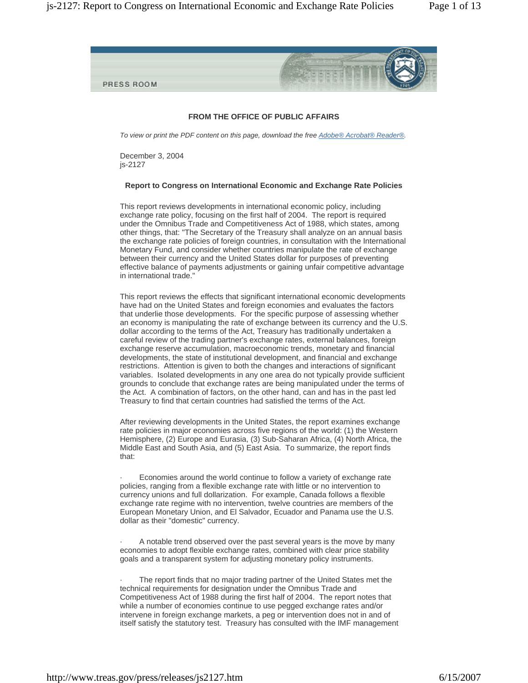

# **FROM THE OFFICE OF PUBLIC AFFAIRS**

*To view or print the PDF content on this page, download the free Adobe® Acrobat® Reader®.*

December 3, 2004 js-2127

## **Report to Congress on International Economic and Exchange Rate Policies**

This report reviews developments in international economic policy, including exchange rate policy, focusing on the first half of 2004. The report is required under the Omnibus Trade and Competitiveness Act of 1988, which states, among other things, that: "The Secretary of the Treasury shall analyze on an annual basis the exchange rate policies of foreign countries, in consultation with the International Monetary Fund, and consider whether countries manipulate the rate of exchange between their currency and the United States dollar for purposes of preventing effective balance of payments adjustments or gaining unfair competitive advantage in international trade."

This report reviews the effects that significant international economic developments have had on the United States and foreign economies and evaluates the factors that underlie those developments. For the specific purpose of assessing whether an economy is manipulating the rate of exchange between its currency and the U.S. dollar according to the terms of the Act, Treasury has traditionally undertaken a careful review of the trading partner's exchange rates, external balances, foreign exchange reserve accumulation, macroeconomic trends, monetary and financial developments, the state of institutional development, and financial and exchange restrictions. Attention is given to both the changes and interactions of significant variables. Isolated developments in any one area do not typically provide sufficient grounds to conclude that exchange rates are being manipulated under the terms of the Act. A combination of factors, on the other hand, can and has in the past led Treasury to find that certain countries had satisfied the terms of the Act.

After reviewing developments in the United States, the report examines exchange rate policies in major economies across five regions of the world: (1) the Western Hemisphere, (2) Europe and Eurasia, (3) Sub-Saharan Africa, (4) North Africa, the Middle East and South Asia, and (5) East Asia. To summarize, the report finds that:

Economies around the world continue to follow a variety of exchange rate policies, ranging from a flexible exchange rate with little or no intervention to currency unions and full dollarization. For example, Canada follows a flexible exchange rate regime with no intervention, twelve countries are members of the European Monetary Union, and El Salvador, Ecuador and Panama use the U.S. dollar as their "domestic" currency.

A notable trend observed over the past several years is the move by many economies to adopt flexible exchange rates, combined with clear price stability goals and a transparent system for adjusting monetary policy instruments.

The report finds that no major trading partner of the United States met the technical requirements for designation under the Omnibus Trade and Competitiveness Act of 1988 during the first half of 2004. The report notes that while a number of economies continue to use pegged exchange rates and/or intervene in foreign exchange markets, a peg or intervention does not in and of itself satisfy the statutory test. Treasury has consulted with the IMF management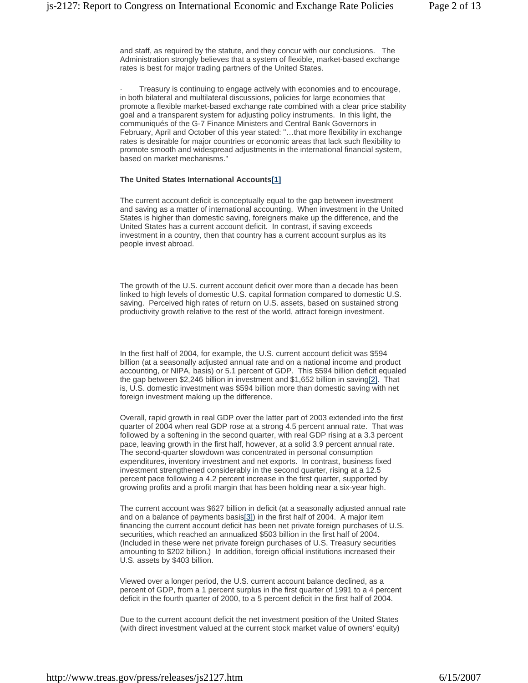and staff, as required by the statute, and they concur with our conclusions. The Administration strongly believes that a system of flexible, market-based exchange rates is best for major trading partners of the United States.

Treasury is continuing to engage actively with economies and to encourage, in both bilateral and multilateral discussions, policies for large economies that promote a flexible market-based exchange rate combined with a clear price stability goal and a transparent system for adjusting policy instruments. In this light, the communiqués of the G-7 Finance Ministers and Central Bank Governors in February, April and October of this year stated: "…that more flexibility in exchange rates is desirable for major countries or economic areas that lack such flexibility to promote smooth and widespread adjustments in the international financial system, based on market mechanisms."

## **The United States International Accounts[1]**

The current account deficit is conceptually equal to the gap between investment and saving as a matter of international accounting. When investment in the United States is higher than domestic saving, foreigners make up the difference, and the United States has a current account deficit. In contrast, if saving exceeds investment in a country, then that country has a current account surplus as its people invest abroad.

The growth of the U.S. current account deficit over more than a decade has been linked to high levels of domestic U.S. capital formation compared to domestic U.S. saving. Perceived high rates of return on U.S. assets, based on sustained strong productivity growth relative to the rest of the world, attract foreign investment.

In the first half of 2004, for example, the U.S. current account deficit was \$594 billion (at a seasonally adjusted annual rate and on a national income and product accounting, or NIPA, basis) or 5.1 percent of GDP. This \$594 billion deficit equaled the gap between \$2,246 billion in investment and \$1,652 billion in saving[2]. That is, U.S. domestic investment was \$594 billion more than domestic saving with net foreign investment making up the difference.

Overall, rapid growth in real GDP over the latter part of 2003 extended into the first quarter of 2004 when real GDP rose at a strong 4.5 percent annual rate. That was followed by a softening in the second quarter, with real GDP rising at a 3.3 percent pace, leaving growth in the first half, however, at a solid 3.9 percent annual rate. The second-quarter slowdown was concentrated in personal consumption expenditures, inventory investment and net exports. In contrast, business fixed investment strengthened considerably in the second quarter, rising at a 12.5 percent pace following a 4.2 percent increase in the first quarter, supported by growing profits and a profit margin that has been holding near a six-year high.

The current account was \$627 billion in deficit (at a seasonally adjusted annual rate and on a balance of payments basis[3]) in the first half of 2004. A major item financing the current account deficit has been net private foreign purchases of U.S. securities, which reached an annualized \$503 billion in the first half of 2004. (Included in these were net private foreign purchases of U.S. Treasury securities amounting to \$202 billion.) In addition, foreign official institutions increased their U.S. assets by \$403 billion.

Viewed over a longer period, the U.S. current account balance declined, as a percent of GDP, from a 1 percent surplus in the first quarter of 1991 to a 4 percent deficit in the fourth quarter of 2000, to a 5 percent deficit in the first half of 2004.

Due to the current account deficit the net investment position of the United States (with direct investment valued at the current stock market value of owners' equity)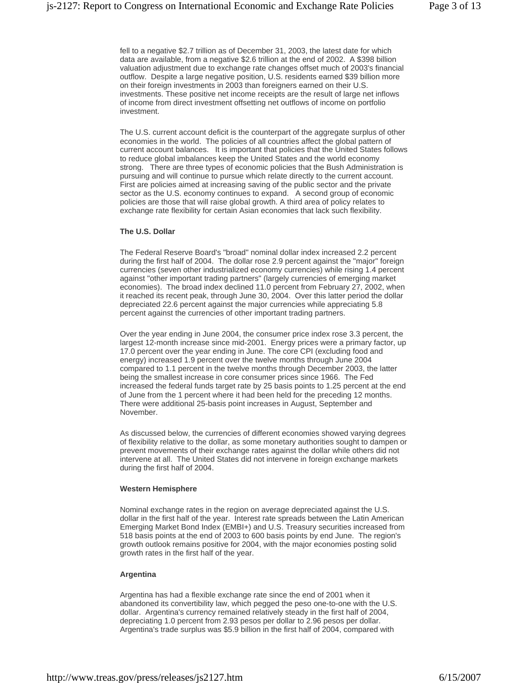fell to a negative \$2.7 trillion as of December 31, 2003, the latest date for which data are available, from a negative \$2.6 trillion at the end of 2002. A \$398 billion valuation adjustment due to exchange rate changes offset much of 2003's financial outflow. Despite a large negative position, U.S. residents earned \$39 billion more on their foreign investments in 2003 than foreigners earned on their U.S. investments. These positive net income receipts are the result of large net inflows of income from direct investment offsetting net outflows of income on portfolio investment.

The U.S. current account deficit is the counterpart of the aggregate surplus of other economies in the world. The policies of all countries affect the global pattern of current account balances. It is important that policies that the United States follows to reduce global imbalances keep the United States and the world economy strong. There are three types of economic policies that the Bush Administration is pursuing and will continue to pursue which relate directly to the current account. First are policies aimed at increasing saving of the public sector and the private sector as the U.S. economy continues to expand. A second group of economic policies are those that will raise global growth. A third area of policy relates to exchange rate flexibility for certain Asian economies that lack such flexibility.

## **The U.S. Dollar**

The Federal Reserve Board's "broad" nominal dollar index increased 2.2 percent during the first half of 2004. The dollar rose 2.9 percent against the "major" foreign currencies (seven other industrialized economy currencies) while rising 1.4 percent against "other important trading partners" (largely currencies of emerging market economies). The broad index declined 11.0 percent from February 27, 2002, when it reached its recent peak, through June 30, 2004. Over this latter period the dollar depreciated 22.6 percent against the major currencies while appreciating 5.8 percent against the currencies of other important trading partners.

Over the year ending in June 2004, the consumer price index rose 3.3 percent, the largest 12-month increase since mid-2001. Energy prices were a primary factor, up 17.0 percent over the year ending in June. The core CPI (excluding food and energy) increased 1.9 percent over the twelve months through June 2004 compared to 1.1 percent in the twelve months through December 2003, the latter being the smallest increase in core consumer prices since 1966. The Fed increased the federal funds target rate by 25 basis points to 1.25 percent at the end of June from the 1 percent where it had been held for the preceding 12 months. There were additional 25-basis point increases in August, September and November.

As discussed below, the currencies of different economies showed varying degrees of flexibility relative to the dollar, as some monetary authorities sought to dampen or prevent movements of their exchange rates against the dollar while others did not intervene at all. The United States did not intervene in foreign exchange markets during the first half of 2004.

# **Western Hemisphere**

Nominal exchange rates in the region on average depreciated against the U.S. dollar in the first half of the year. Interest rate spreads between the Latin American Emerging Market Bond Index (EMBI+) and U.S. Treasury securities increased from 518 basis points at the end of 2003 to 600 basis points by end June. The region's growth outlook remains positive for 2004, with the major economies posting solid growth rates in the first half of the year.

# **Argentina**

Argentina has had a flexible exchange rate since the end of 2001 when it abandoned its convertibility law, which pegged the peso one-to-one with the U.S. dollar. Argentina's currency remained relatively steady in the first half of 2004, depreciating 1.0 percent from 2.93 pesos per dollar to 2.96 pesos per dollar. Argentina's trade surplus was \$5.9 billion in the first half of 2004, compared with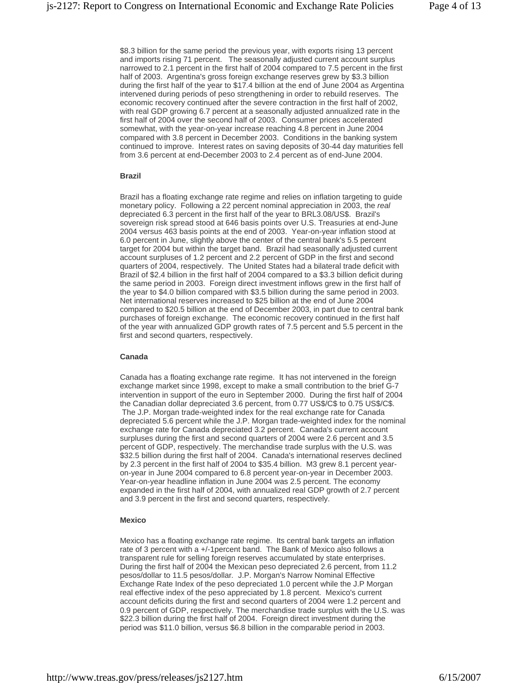\$8.3 billion for the same period the previous year, with exports rising 13 percent and imports rising 71 percent. The seasonally adjusted current account surplus narrowed to 2.1 percent in the first half of 2004 compared to 7.5 percent in the first half of 2003. Argentina's gross foreign exchange reserves grew by \$3.3 billion during the first half of the year to \$17.4 billion at the end of June 2004 as Argentina intervened during periods of peso strengthening in order to rebuild reserves. The economic recovery continued after the severe contraction in the first half of 2002, with real GDP growing 6.7 percent at a seasonally adjusted annualized rate in the first half of 2004 over the second half of 2003. Consumer prices accelerated somewhat, with the year-on-year increase reaching 4.8 percent in June 2004 compared with 3.8 percent in December 2003. Conditions in the banking system continued to improve. Interest rates on saving deposits of 30-44 day maturities fell from 3.6 percent at end-December 2003 to 2.4 percent as of end-June 2004.

## **Brazil**

Brazil has a floating exchange rate regime and relies on inflation targeting to guide monetary policy. Following a 22 percent nominal appreciation in 2003, the *real*  depreciated 6.3 percent in the first half of the year to BRL3.08/US\$. Brazil's sovereign risk spread stood at 646 basis points over U.S. Treasuries at end-June 2004 versus 463 basis points at the end of 2003. Year-on-year inflation stood at 6.0 percent in June, slightly above the center of the central bank's 5.5 percent target for 2004 but within the target band. Brazil had seasonally adjusted current account surpluses of 1.2 percent and 2.2 percent of GDP in the first and second quarters of 2004, respectively. The United States had a bilateral trade deficit with Brazil of \$2.4 billion in the first half of 2004 compared to a \$3.3 billion deficit during the same period in 2003. Foreign direct investment inflows grew in the first half of the year to \$4.0 billion compared with \$3.5 billion during the same period in 2003. Net international reserves increased to \$25 billion at the end of June 2004 compared to \$20.5 billion at the end of December 2003, in part due to central bank purchases of foreign exchange. The economic recovery continued in the first half of the year with annualized GDP growth rates of 7.5 percent and 5.5 percent in the first and second quarters, respectively.

## **Canada**

Canada has a floating exchange rate regime. It has not intervened in the foreign exchange market since 1998, except to make a small contribution to the brief G-7 intervention in support of the euro in September 2000. During the first half of 2004 the Canadian dollar depreciated 3.6 percent, from 0.77 US\$/C\$ to 0.75 US\$/C\$. The J.P. Morgan trade-weighted index for the real exchange rate for Canada depreciated 5.6 percent while the J.P. Morgan trade-weighted index for the nominal exchange rate for Canada depreciated 3.2 percent. Canada's current account surpluses during the first and second quarters of 2004 were 2.6 percent and 3.5 percent of GDP, respectively. The merchandise trade surplus with the U.S. was \$32.5 billion during the first half of 2004. Canada's international reserves declined by 2.3 percent in the first half of 2004 to \$35.4 billion. M3 grew 8.1 percent yearon-year in June 2004 compared to 6.8 percent year-on-year in December 2003. Year-on-year headline inflation in June 2004 was 2.5 percent. The economy expanded in the first half of 2004, with annualized real GDP growth of 2.7 percent and 3.9 percent in the first and second quarters, respectively.

## **Mexico**

Mexico has a floating exchange rate regime. Its central bank targets an inflation rate of 3 percent with a +/-1percent band. The Bank of Mexico also follows a transparent rule for selling foreign reserves accumulated by state enterprises. During the first half of 2004 the Mexican peso depreciated 2.6 percent, from 11.2 pesos/dollar to 11.5 pesos/dollar*.* J.P. Morgan's Narrow Nominal Effective Exchange Rate Index of the peso depreciated 1.0 percent while the J.P Morgan real effective index of the peso appreciated by 1.8 percent. Mexico's current account deficits during the first and second quarters of 2004 were 1.2 percent and 0.9 percent of GDP, respectively. The merchandise trade surplus with the U.S. was \$22.3 billion during the first half of 2004. Foreign direct investment during the period was \$11.0 billion, versus \$6.8 billion in the comparable period in 2003.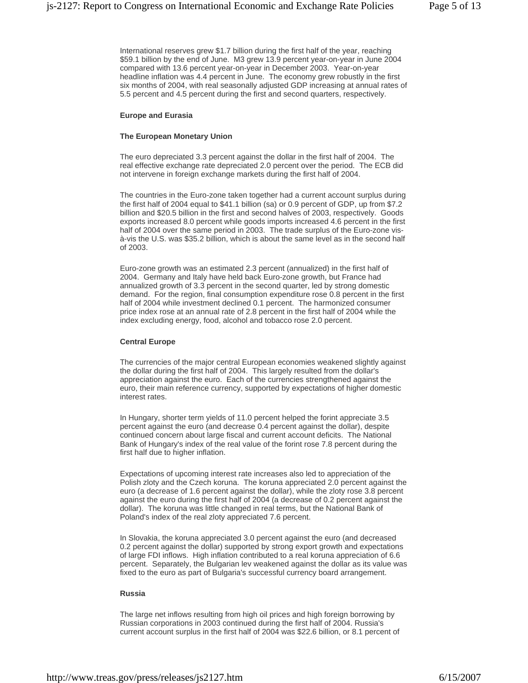International reserves grew \$1.7 billion during the first half of the year, reaching \$59.1 billion by the end of June. M3 grew 13.9 percent year-on-year in June 2004 compared with 13.6 percent year-on-year in December 2003. Year-on-year headline inflation was 4.4 percent in June. The economy grew robustly in the first six months of 2004, with real seasonally adjusted GDP increasing at annual rates of 5.5 percent and 4.5 percent during the first and second quarters, respectively.

## **Europe and Eurasia**

## **The European Monetary Union**

The euro depreciated 3.3 percent against the dollar in the first half of 2004. The real effective exchange rate depreciated 2.0 percent over the period. The ECB did not intervene in foreign exchange markets during the first half of 2004.

The countries in the Euro-zone taken together had a current account surplus during the first half of 2004 equal to \$41.1 billion (sa) or 0.9 percent of GDP, up from \$7.2 billion and \$20.5 billion in the first and second halves of 2003, respectively. Goods exports increased 8.0 percent while goods imports increased 4.6 percent in the first half of 2004 over the same period in 2003. The trade surplus of the Euro-zone visà-vis the U.S. was \$35.2 billion, which is about the same level as in the second half of 2003.

Euro-zone growth was an estimated 2.3 percent (annualized) in the first half of 2004. Germany and Italy have held back Euro-zone growth, but France had annualized growth of 3.3 percent in the second quarter, led by strong domestic demand. For the region, final consumption expenditure rose 0.8 percent in the first half of 2004 while investment declined 0.1 percent. The harmonized consumer price index rose at an annual rate of 2.8 percent in the first half of 2004 while the index excluding energy, food, alcohol and tobacco rose 2.0 percent.

#### **Central Europe**

The currencies of the major central European economies weakened slightly against the dollar during the first half of 2004. This largely resulted from the dollar's appreciation against the euro. Each of the currencies strengthened against the euro, their main reference currency, supported by expectations of higher domestic interest rates.

In Hungary, shorter term yields of 11.0 percent helped the forint appreciate 3.5 percent against the euro (and decrease 0.4 percent against the dollar), despite continued concern about large fiscal and current account deficits. The National Bank of Hungary's index of the real value of the forint rose 7.8 percent during the first half due to higher inflation.

Expectations of upcoming interest rate increases also led to appreciation of the Polish zloty and the Czech koruna. The koruna appreciated 2.0 percent against the euro (a decrease of 1.6 percent against the dollar), while the zloty rose 3.8 percent against the euro during the first half of 2004 (a decrease of 0.2 percent against the dollar). The koruna was little changed in real terms, but the National Bank of Poland's index of the real zloty appreciated 7.6 percent.

In Slovakia, the koruna appreciated 3.0 percent against the euro (and decreased 0.2 percent against the dollar) supported by strong export growth and expectations of large FDI inflows. High inflation contributed to a real koruna appreciation of 6.6 percent. Separately, the Bulgarian lev weakened against the dollar as its value was fixed to the euro as part of Bulgaria's successful currency board arrangement.

## **Russia**

The large net inflows resulting from high oil prices and high foreign borrowing by Russian corporations in 2003 continued during the first half of 2004. Russia's current account surplus in the first half of 2004 was \$22.6 billion, or 8.1 percent of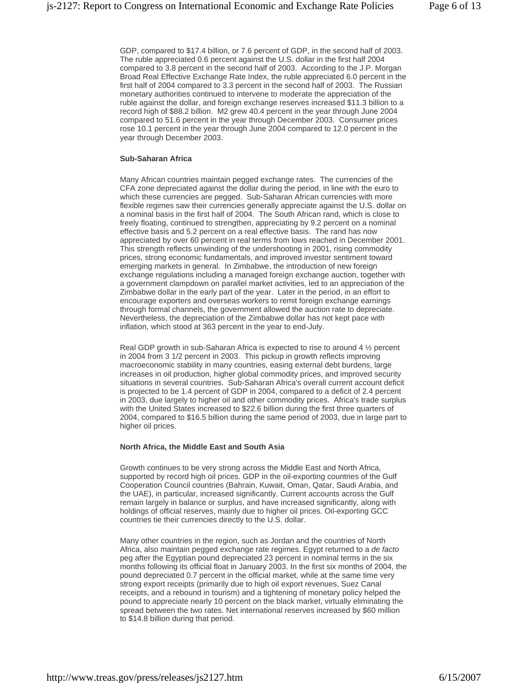GDP, compared to \$17.4 billion, or 7.6 percent of GDP, in the second half of 2003. The ruble appreciated 0.6 percent against the U.S. dollar in the first half 2004 compared to 3.8 percent in the second half of 2003. According to the J.P. Morgan Broad Real Effective Exchange Rate Index, the ruble appreciated 6.0 percent in the first half of 2004 compared to 3.3 percent in the second half of 2003. The Russian monetary authorities continued to intervene to moderate the appreciation of the ruble against the dollar, and foreign exchange reserves increased \$11.3 billion to a record high of \$88.2 billion. M2 grew 40.4 percent in the year through June 2004 compared to 51.6 percent in the year through December 2003. Consumer prices rose 10.1 percent in the year through June 2004 compared to 12.0 percent in the year through December 2003.

## **Sub-Saharan Africa**

Many African countries maintain pegged exchange rates. The currencies of the CFA zone depreciated against the dollar during the period, in line with the euro to which these currencies are pegged. Sub-Saharan African currencies with more flexible regimes saw their currencies generally appreciate against the U.S. dollar on a nominal basis in the first half of 2004. The South African rand, which is close to freely floating, continued to strengthen, appreciating by 9.2 percent on a nominal effective basis and 5.2 percent on a real effective basis. The rand has now appreciated by over 60 percent in real terms from lows reached in December 2001. This strength reflects unwinding of the undershooting in 2001, rising commodity prices, strong economic fundamentals, and improved investor sentiment toward emerging markets in general. In Zimbabwe, the introduction of new foreign exchange regulations including a managed foreign exchange auction, together with a government clampdown on parallel market activities, led to an appreciation of the Zimbabwe dollar in the early part of the year. Later in the period, in an effort to encourage exporters and overseas workers to remit foreign exchange earnings through formal channels, the government allowed the auction rate to depreciate. Nevertheless, the depreciation of the Zimbabwe dollar has not kept pace with inflation, which stood at 363 percent in the year to end-July.

Real GDP growth in sub-Saharan Africa is expected to rise to around 4 ½ percent in 2004 from 3 1/2 percent in 2003. This pickup in growth reflects improving macroeconomic stability in many countries, easing external debt burdens, large increases in oil production, higher global commodity prices, and improved security situations in several countries. Sub-Saharan Africa's overall current account deficit is projected to be 1.4 percent of GDP in 2004, compared to a deficit of 2.4 percent in 2003, due largely to higher oil and other commodity prices. Africa's trade surplus with the United States increased to \$22.6 billion during the first three quarters of 2004, compared to \$16.5 billion during the same period of 2003, due in large part to higher oil prices.

## **North Africa, the Middle East and South Asia**

Growth continues to be very strong across the Middle East and North Africa, supported by record high oil prices. GDP in the oil-exporting countries of the Gulf Cooperation Council countries (Bahrain, Kuwait, Oman, Qatar, Saudi Arabia, and the UAE), in particular, increased significantly. Current accounts across the Gulf remain largely in balance or surplus, and have increased significantly, along with holdings of official reserves, mainly due to higher oil prices. Oil-exporting GCC countries tie their currencies directly to the U.S. dollar.

Many other countries in the region, such as Jordan and the countries of North Africa, also maintain pegged exchange rate regimes. Egypt returned to a *de facto* peg after the Egyptian pound depreciated 23 percent in nominal terms in the six months following its official float in January 2003. In the first six months of 2004, the pound depreciated 0.7 percent in the official market, while at the same time very strong export receipts (primarily due to high oil export revenues, Suez Canal receipts, and a rebound in tourism) and a tightening of monetary policy helped the pound to appreciate nearly 10 percent on the black market, virtually eliminating the spread between the two rates. Net international reserves increased by \$60 million to \$14.8 billion during that period.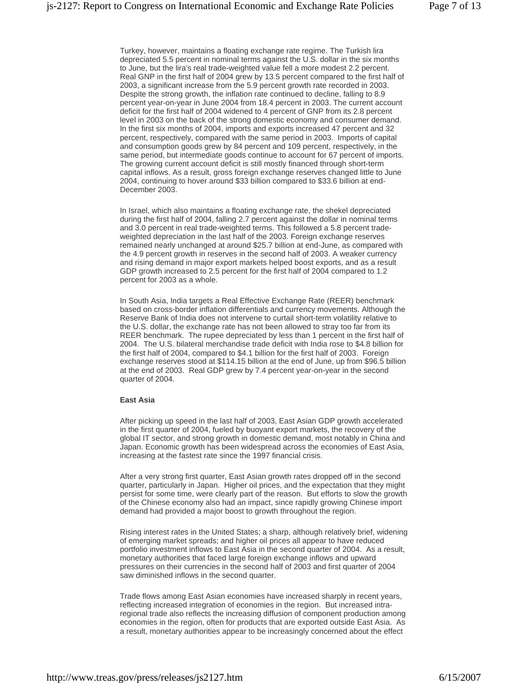Turkey, however, maintains a floating exchange rate regime. The Turkish lira depreciated 5.5 percent in nominal terms against the U.S. dollar in the six months to June, but the lira's real trade-weighted value fell a more modest 2.2 percent. Real GNP in the first half of 2004 grew by 13.5 percent compared to the first half of 2003, a significant increase from the 5.9 percent growth rate recorded in 2003. Despite the strong growth, the inflation rate continued to decline, falling to 8.9 percent year-on-year in June 2004 from 18.4 percent in 2003. The current account deficit for the first half of 2004 widened to 4 percent of GNP from its 2.8 percent level in 2003 on the back of the strong domestic economy and consumer demand. In the first six months of 2004, imports and exports increased 47 percent and 32 percent, respectively, compared with the same period in 2003. Imports of capital and consumption goods grew by 84 percent and 109 percent, respectively, in the same period, but intermediate goods continue to account for 67 percent of imports. The growing current account deficit is still mostly financed through short-term capital inflows. As a result, gross foreign exchange reserves changed little to June 2004, continuing to hover around \$33 billion compared to \$33.6 billion at end-December 2003.

In Israel, which also maintains a floating exchange rate, the shekel depreciated during the first half of 2004, falling 2.7 percent against the dollar in nominal terms and 3.0 percent in real trade-weighted terms. This followed a 5.8 percent tradeweighted depreciation in the last half of the 2003. Foreign exchange reserves remained nearly unchanged at around \$25.7 billion at end-June, as compared with the 4.9 percent growth in reserves in the second half of 2003. A weaker currency and rising demand in major export markets helped boost exports, and as a result GDP growth increased to 2.5 percent for the first half of 2004 compared to 1.2 percent for 2003 as a whole.

In South Asia, India targets a Real Effective Exchange Rate (REER) benchmark based on cross-border inflation differentials and currency movements. Although the Reserve Bank of India does not intervene to curtail short-term volatility relative to the U.S. dollar, the exchange rate has not been allowed to stray too far from its REER benchmark. The rupee depreciated by less than 1 percent in the first half of 2004. The U.S. bilateral merchandise trade deficit with India rose to \$4.8 billion for the first half of 2004, compared to \$4.1 billion for the first half of 2003. Foreign exchange reserves stood at \$114.15 billion at the end of June, up from \$96.5 billion at the end of 2003. Real GDP grew by 7.4 percent year-on-year in the second quarter of 2004.

## **East Asia**

After picking up speed in the last half of 2003, East Asian GDP growth accelerated in the first quarter of 2004, fueled by buoyant export markets, the recovery of the global IT sector, and strong growth in domestic demand, most notably in China and Japan. Economic growth has been widespread across the economies of East Asia, increasing at the fastest rate since the 1997 financial crisis.

After a very strong first quarter, East Asian growth rates dropped off in the second quarter, particularly in Japan. Higher oil prices, and the expectation that they might persist for some time, were clearly part of the reason. But efforts to slow the growth of the Chinese economy also had an impact, since rapidly growing Chinese import demand had provided a major boost to growth throughout the region.

Rising interest rates in the United States; a sharp, although relatively brief, widening of emerging market spreads; and higher oil prices all appear to have reduced portfolio investment inflows to East Asia in the second quarter of 2004. As a result, monetary authorities that faced large foreign exchange inflows and upward pressures on their currencies in the second half of 2003 and first quarter of 2004 saw diminished inflows in the second quarter.

Trade flows among East Asian economies have increased sharply in recent years, reflecting increased integration of economies in the region. But increased intraregional trade also reflects the increasing diffusion of component production among economies in the region, often for products that are exported outside East Asia. As a result, monetary authorities appear to be increasingly concerned about the effect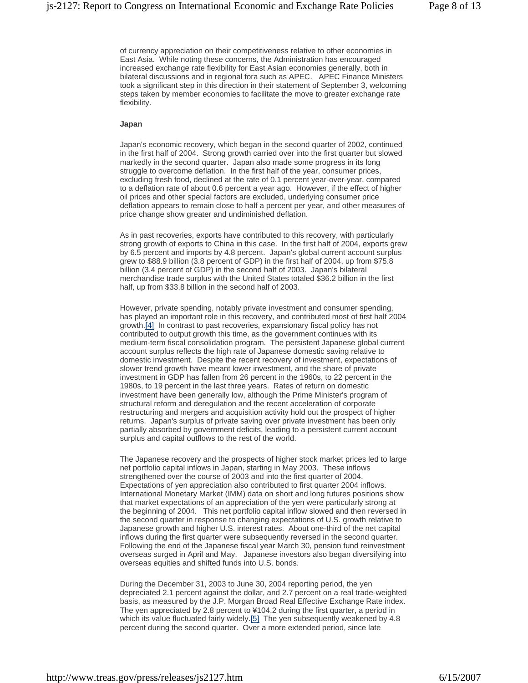of currency appreciation on their competitiveness relative to other economies in East Asia. While noting these concerns, the Administration has encouraged increased exchange rate flexibility for East Asian economies generally, both in bilateral discussions and in regional fora such as APEC. APEC Finance Ministers took a significant step in this direction in their statement of September 3, welcoming steps taken by member economies to facilitate the move to greater exchange rate flexibility.

#### **Japan**

Japan's economic recovery, which began in the second quarter of 2002, continued in the first half of 2004. Strong growth carried over into the first quarter but slowed markedly in the second quarter. Japan also made some progress in its long struggle to overcome deflation. In the first half of the year, consumer prices, excluding fresh food, declined at the rate of 0.1 percent year-over-year, compared to a deflation rate of about 0.6 percent a year ago. However, if the effect of higher oil prices and other special factors are excluded, underlying consumer price deflation appears to remain close to half a percent per year, and other measures of price change show greater and undiminished deflation.

As in past recoveries, exports have contributed to this recovery, with particularly strong growth of exports to China in this case. In the first half of 2004, exports grew by 6.5 percent and imports by 4.8 percent. Japan's global current account surplus grew to \$88.9 billion (3.8 percent of GDP) in the first half of 2004, up from \$75.8 billion (3.4 percent of GDP) in the second half of 2003. Japan's bilateral merchandise trade surplus with the United States totaled \$36.2 billion in the first half, up from \$33.8 billion in the second half of 2003.

However, private spending, notably private investment and consumer spending, has played an important role in this recovery, and contributed most of first half 2004 growth.[4] In contrast to past recoveries, expansionary fiscal policy has not contributed to output growth this time, as the government continues with its medium-term fiscal consolidation program. The persistent Japanese global current account surplus reflects the high rate of Japanese domestic saving relative to domestic investment. Despite the recent recovery of investment, expectations of slower trend growth have meant lower investment, and the share of private investment in GDP has fallen from 26 percent in the 1960s, to 22 percent in the 1980s, to 19 percent in the last three years. Rates of return on domestic investment have been generally low, although the Prime Minister's program of structural reform and deregulation and the recent acceleration of corporate restructuring and mergers and acquisition activity hold out the prospect of higher returns. Japan's surplus of private saving over private investment has been only partially absorbed by government deficits, leading to a persistent current account surplus and capital outflows to the rest of the world.

The Japanese recovery and the prospects of higher stock market prices led to large net portfolio capital inflows in Japan, starting in May 2003. These inflows strengthened over the course of 2003 and into the first quarter of 2004. Expectations of yen appreciation also contributed to first quarter 2004 inflows. International Monetary Market (IMM) data on short and long futures positions show that market expectations of an appreciation of the yen were particularly strong at the beginning of 2004. This net portfolio capital inflow slowed and then reversed in the second quarter in response to changing expectations of U.S. growth relative to Japanese growth and higher U.S. interest rates. About one-third of the net capital inflows during the first quarter were subsequently reversed in the second quarter. Following the end of the Japanese fiscal year March 30, pension fund reinvestment overseas surged in April and May. Japanese investors also began diversifying into overseas equities and shifted funds into U.S. bonds.

During the December 31, 2003 to June 30, 2004 reporting period, the yen depreciated 2.1 percent against the dollar, and 2.7 percent on a real trade-weighted basis, as measured by the J.P. Morgan Broad Real Effective Exchange Rate index. The yen appreciated by 2.8 percent to ¥104.2 during the first quarter, a period in which its value fluctuated fairly widely.[5] The yen subsequently weakened by 4.8 percent during the second quarter. Over a more extended period, since late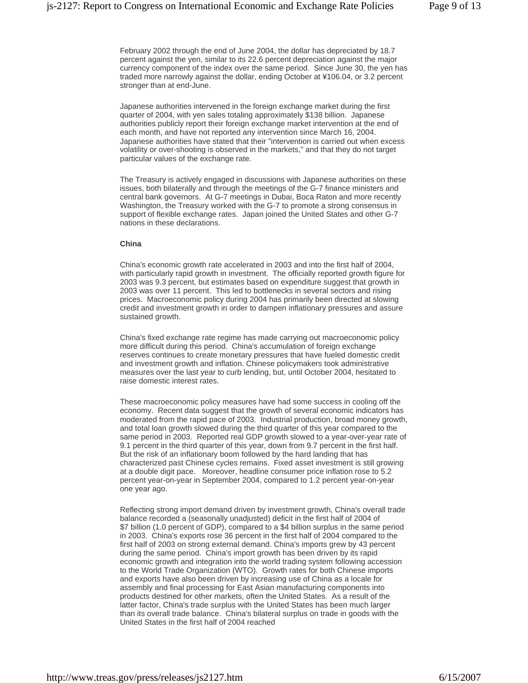February 2002 through the end of June 2004, the dollar has depreciated by 18.7 percent against the yen, similar to its 22.6 percent depreciation against the major currency component of the index over the same period. Since June 30, the yen has traded more narrowly against the dollar, ending October at ¥106.04, or 3.2 percent stronger than at end-June.

Japanese authorities intervened in the foreign exchange market during the first quarter of 2004, with yen sales totaling approximately \$138 billion. Japanese authorities publicly report their foreign exchange market intervention at the end of each month, and have not reported any intervention since March 16, 2004. Japanese authorities have stated that their "intervention is carried out when excess volatility or over-shooting is observed in the markets," and that they do not target particular values of the exchange rate.

The Treasury is actively engaged in discussions with Japanese authorities on these issues, both bilaterally and through the meetings of the G-7 finance ministers and central bank governors. At G-7 meetings in Dubai, Boca Raton and more recently Washington, the Treasury worked with the G-7 to promote a strong consensus in support of flexible exchange rates. Japan joined the United States and other G-7 nations in these declarations.

## **China**

China's economic growth rate accelerated in 2003 and into the first half of 2004, with particularly rapid growth in investment. The officially reported growth figure for 2003 was 9.3 percent, but estimates based on expenditure suggest that growth in 2003 was over 11 percent. This led to bottlenecks in several sectors and rising prices. Macroeconomic policy during 2004 has primarily been directed at slowing credit and investment growth in order to dampen inflationary pressures and assure sustained growth.

China's fixed exchange rate regime has made carrying out macroeconomic policy more difficult during this period. China's accumulation of foreign exchange reserves continues to create monetary pressures that have fueled domestic credit and investment growth and inflation. Chinese policymakers took administrative measures over the last year to curb lending, but, until October 2004, hesitated to raise domestic interest rates.

These macroeconomic policy measures have had some success in cooling off the economy. Recent data suggest that the growth of several economic indicators has moderated from the rapid pace of 2003. Industrial production, broad money growth, and total loan growth slowed during the third quarter of this year compared to the same period in 2003. Reported real GDP growth slowed to a year-over-year rate of 9.1 percent in the third quarter of this year, down from 9.7 percent in the first half. But the risk of an inflationary boom followed by the hard landing that has characterized past Chinese cycles remains. Fixed asset investment is still growing at a double digit pace. Moreover, headline consumer price inflation rose to 5.2 percent year-on-year in September 2004, compared to 1.2 percent year-on-year one year ago.

Reflecting strong import demand driven by investment growth, China's overall trade balance recorded a (seasonally unadjusted) deficit in the first half of 2004 of \$7 billion (1.0 percent of GDP), compared to a \$4 billion surplus in the same period in 2003. China's exports rose 36 percent in the first half of 2004 compared to the first half of 2003 on strong external demand. China's imports grew by 43 percent during the same period. China's import growth has been driven by its rapid economic growth and integration into the world trading system following accession to the World Trade Organization (WTO). Growth rates for both Chinese imports and exports have also been driven by increasing use of China as a locale for assembly and final processing for East Asian manufacturing components into products destined for other markets, often the United States. As a result of the latter factor, China's trade surplus with the United States has been much larger than its overall trade balance. China's bilateral surplus on trade in goods with the United States in the first half of 2004 reached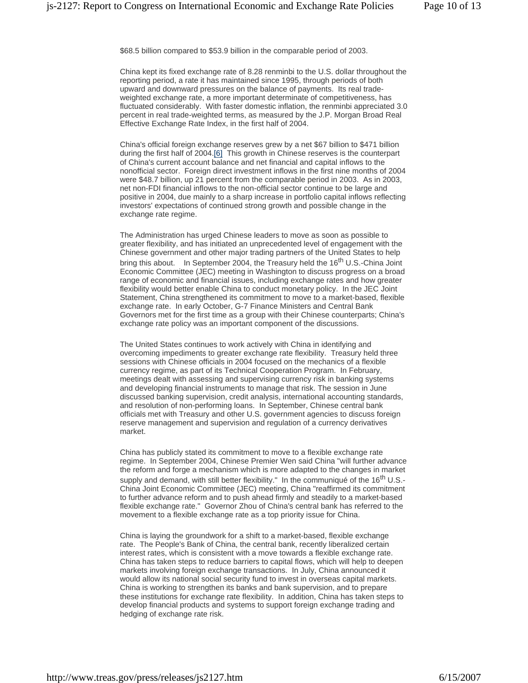\$68.5 billion compared to \$53.9 billion in the comparable period of 2003.

China kept its fixed exchange rate of 8.28 renminbi to the U.S. dollar throughout the reporting period, a rate it has maintained since 1995, through periods of both upward and downward pressures on the balance of payments. Its real tradeweighted exchange rate, a more important determinate of competitiveness, has fluctuated considerably. With faster domestic inflation, the renminbi appreciated 3.0 percent in real trade-weighted terms, as measured by the J.P. Morgan Broad Real Effective Exchange Rate Index, in the first half of 2004.

China's official foreign exchange reserves grew by a net \$67 billion to \$471 billion during the first half of 2004.[6] This growth in Chinese reserves is the counterpart of China's current account balance and net financial and capital inflows to the nonofficial sector. Foreign direct investment inflows in the first nine months of 2004 were \$48.7 billion, up 21 percent from the comparable period in 2003. As in 2003, net non-FDI financial inflows to the non-official sector continue to be large and positive in 2004, due mainly to a sharp increase in portfolio capital inflows reflecting investors' expectations of continued strong growth and possible change in the exchange rate regime.

The Administration has urged Chinese leaders to move as soon as possible to greater flexibility, and has initiated an unprecedented level of engagement with the Chinese government and other major trading partners of the United States to help bring this about. In September 2004, the Treasury held the 16<sup>th</sup> U.S.-China Joint Economic Committee (JEC) meeting in Washington to discuss progress on a broad range of economic and financial issues, including exchange rates and how greater flexibility would better enable China to conduct monetary policy. In the JEC Joint Statement, China strengthened its commitment to move to a market-based, flexible exchange rate. In early October, G-7 Finance Ministers and Central Bank Governors met for the first time as a group with their Chinese counterparts; China's exchange rate policy was an important component of the discussions.

The United States continues to work actively with China in identifying and overcoming impediments to greater exchange rate flexibility. Treasury held three sessions with Chinese officials in 2004 focused on the mechanics of a flexible currency regime, as part of its Technical Cooperation Program. In February, meetings dealt with assessing and supervising currency risk in banking systems and developing financial instruments to manage that risk. The session in June discussed banking supervision, credit analysis, international accounting standards, and resolution of non-performing loans. In September, Chinese central bank officials met with Treasury and other U.S. government agencies to discuss foreign reserve management and supervision and regulation of a currency derivatives market.

China has publicly stated its commitment to move to a flexible exchange rate regime. In September 2004, Chinese Premier Wen said China "will further advance the reform and forge a mechanism which is more adapted to the changes in market supply and demand, with still better flexibility." In the communiqué of the 16<sup>th</sup> U.S.-China Joint Economic Committee (JEC) meeting, China "reaffirmed its commitment to further advance reform and to push ahead firmly and steadily to a market-based flexible exchange rate." Governor Zhou of China's central bank has referred to the movement to a flexible exchange rate as a top priority issue for China.

China is laying the groundwork for a shift to a market-based, flexible exchange rate. The People's Bank of China, the central bank, recently liberalized certain interest rates, which is consistent with a move towards a flexible exchange rate. China has taken steps to reduce barriers to capital flows, which will help to deepen markets involving foreign exchange transactions. In July, China announced it would allow its national social security fund to invest in overseas capital markets. China is working to strengthen its banks and bank supervision, and to prepare these institutions for exchange rate flexibility. In addition, China has taken steps to develop financial products and systems to support foreign exchange trading and hedging of exchange rate risk.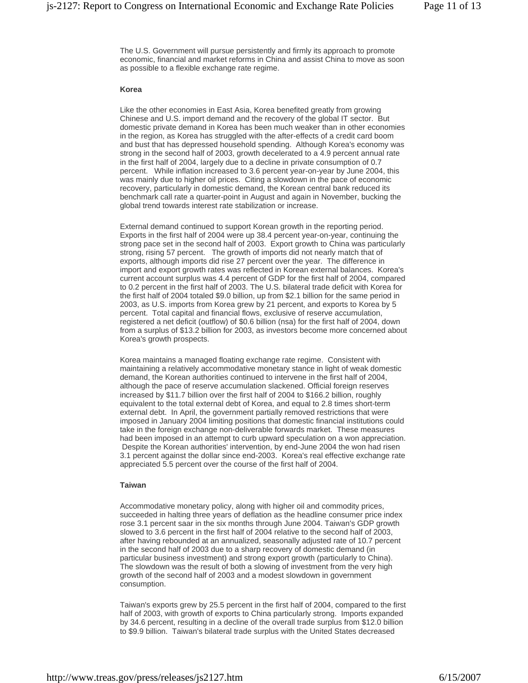The U.S. Government will pursue persistently and firmly its approach to promote economic, financial and market reforms in China and assist China to move as soon as possible to a flexible exchange rate regime.

## **Korea**

Like the other economies in East Asia, Korea benefited greatly from growing Chinese and U.S. import demand and the recovery of the global IT sector. But domestic private demand in Korea has been much weaker than in other economies in the region, as Korea has struggled with the after-effects of a credit card boom and bust that has depressed household spending. Although Korea's economy was strong in the second half of 2003, growth decelerated to a 4.9 percent annual rate in the first half of 2004, largely due to a decline in private consumption of 0.7 percent. While inflation increased to 3.6 percent year-on-year by June 2004, this was mainly due to higher oil prices. Citing a slowdown in the pace of economic recovery, particularly in domestic demand, the Korean central bank reduced its benchmark call rate a quarter-point in August and again in November, bucking the global trend towards interest rate stabilization or increase.

External demand continued to support Korean growth in the reporting period. Exports in the first half of 2004 were up 38.4 percent year-on-year, continuing the strong pace set in the second half of 2003. Export growth to China was particularly strong, rising 57 percent. The growth of imports did not nearly match that of exports, although imports did rise 27 percent over the year. The difference in import and export growth rates was reflected in Korean external balances. Korea's current account surplus was 4.4 percent of GDP for the first half of 2004, compared to 0.2 percent in the first half of 2003. The U.S. bilateral trade deficit with Korea for the first half of 2004 totaled \$9.0 billion, up from \$2.1 billion for the same period in 2003, as U.S. imports from Korea grew by 21 percent, and exports to Korea by 5 percent. Total capital and financial flows, exclusive of reserve accumulation, registered a net deficit (outflow) of \$0.6 billion (nsa) for the first half of 2004, down from a surplus of \$13.2 billion for 2003, as investors become more concerned about Korea's growth prospects.

Korea maintains a managed floating exchange rate regime. Consistent with maintaining a relatively accommodative monetary stance in light of weak domestic demand, the Korean authorities continued to intervene in the first half of 2004, although the pace of reserve accumulation slackened. Official foreign reserves increased by \$11.7 billion over the first half of 2004 to \$166.2 billion, roughly equivalent to the total external debt of Korea, and equal to 2.8 times short-term external debt. In April, the government partially removed restrictions that were imposed in January 2004 limiting positions that domestic financial institutions could take in the foreign exchange non-deliverable forwards market. These measures had been imposed in an attempt to curb upward speculation on a won appreciation. Despite the Korean authorities' intervention, by end-June 2004 the won had risen 3.1 percent against the dollar since end-2003. Korea's real effective exchange rate appreciated 5.5 percent over the course of the first half of 2004.

#### **Taiwan**

Accommodative monetary policy, along with higher oil and commodity prices, succeeded in halting three years of deflation as the headline consumer price index rose 3.1 percent saar in the six months through June 2004. Taiwan's GDP growth slowed to 3.6 percent in the first half of 2004 relative to the second half of 2003, after having rebounded at an annualized, seasonally adjusted rate of 10.7 percent in the second half of 2003 due to a sharp recovery of domestic demand (in particular business investment) and strong export growth (particularly to China). The slowdown was the result of both a slowing of investment from the very high growth of the second half of 2003 and a modest slowdown in government consumption.

Taiwan's exports grew by 25.5 percent in the first half of 2004, compared to the first half of 2003, with growth of exports to China particularly strong. Imports expanded by 34.6 percent, resulting in a decline of the overall trade surplus from \$12.0 billion to \$9.9 billion. Taiwan's bilateral trade surplus with the United States decreased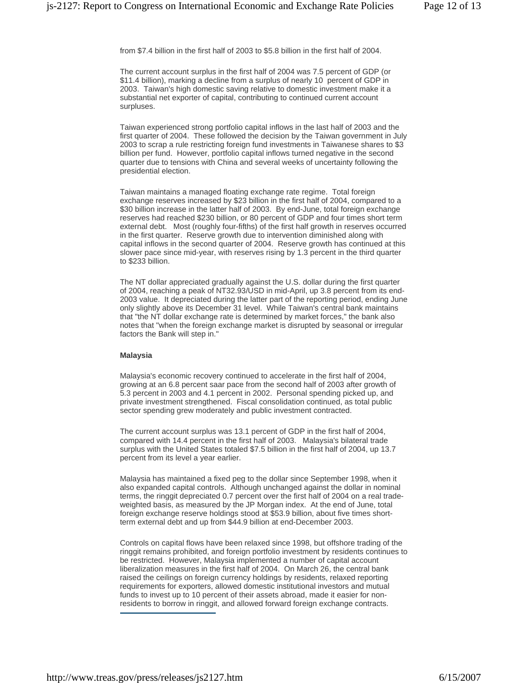from \$7.4 billion in the first half of 2003 to \$5.8 billion in the first half of 2004.

The current account surplus in the first half of 2004 was 7.5 percent of GDP (or \$11.4 billion), marking a decline from a surplus of nearly 10 percent of GDP in 2003. Taiwan's high domestic saving relative to domestic investment make it a substantial net exporter of capital, contributing to continued current account surpluses.

Taiwan experienced strong portfolio capital inflows in the last half of 2003 and the first quarter of 2004. These followed the decision by the Taiwan government in July 2003 to scrap a rule restricting foreign fund investments in Taiwanese shares to \$3 billion per fund. However, portfolio capital inflows turned negative in the second quarter due to tensions with China and several weeks of uncertainty following the presidential election.

Taiwan maintains a managed floating exchange rate regime. Total foreign exchange reserves increased by \$23 billion in the first half of 2004, compared to a \$30 billion increase in the latter half of 2003. By end-June, total foreign exchange reserves had reached \$230 billion, or 80 percent of GDP and four times short term external debt. Most (roughly four-fifths) of the first half growth in reserves occurred in the first quarter. Reserve growth due to intervention diminished along with capital inflows in the second quarter of 2004. Reserve growth has continued at this slower pace since mid-year, with reserves rising by 1.3 percent in the third quarter to \$233 billion.

The NT dollar appreciated gradually against the U.S. dollar during the first quarter of 2004, reaching a peak of NT32.93/USD in mid-April, up 3.8 percent from its end-2003 value. It depreciated during the latter part of the reporting period, ending June only slightly above its December 31 level. While Taiwan's central bank maintains that "the NT dollar exchange rate is determined by market forces," the bank also notes that "when the foreign exchange market is disrupted by seasonal or irregular factors the Bank will step in."

## **Malaysia**

Malaysia's economic recovery continued to accelerate in the first half of 2004, growing at an 6.8 percent saar pace from the second half of 2003 after growth of 5.3 percent in 2003 and 4.1 percent in 2002. Personal spending picked up, and private investment strengthened. Fiscal consolidation continued, as total public sector spending grew moderately and public investment contracted.

The current account surplus was 13.1 percent of GDP in the first half of 2004, compared with 14.4 percent in the first half of 2003. Malaysia's bilateral trade surplus with the United States totaled \$7.5 billion in the first half of 2004, up 13.7 percent from its level a year earlier.

Malaysia has maintained a fixed peg to the dollar since September 1998, when it also expanded capital controls. Although unchanged against the dollar in nominal terms, the ringgit depreciated 0.7 percent over the first half of 2004 on a real tradeweighted basis, as measured by the JP Morgan index. At the end of June, total foreign exchange reserve holdings stood at \$53.9 billion, about five times shortterm external debt and up from \$44.9 billion at end-December 2003.

Controls on capital flows have been relaxed since 1998, but offshore trading of the ringgit remains prohibited, and foreign portfolio investment by residents continues to be restricted. However, Malaysia implemented a number of capital account liberalization measures in the first half of 2004. On March 26, the central bank raised the ceilings on foreign currency holdings by residents, relaxed reporting requirements for exporters, allowed domestic institutional investors and mutual funds to invest up to 10 percent of their assets abroad, made it easier for nonresidents to borrow in ringgit, and allowed forward foreign exchange contracts.